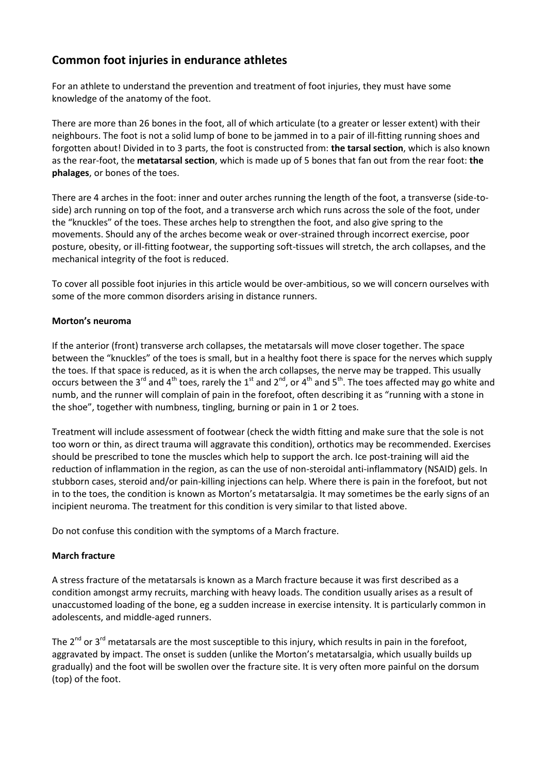# **Common foot injuries in endurance athletes**

For an athlete to understand the prevention and treatment of foot injuries, they must have some knowledge of the anatomy of the foot.

There are more than 26 bones in the foot, all of which articulate (to a greater or lesser extent) with their neighbours. The foot is not a solid lump of bone to be jammed in to a pair of ill-fitting running shoes and forgotten about! Divided in to 3 parts, the foot is constructed from: **the tarsal section**, which is also known as the rear-foot, the **metatarsal section**, which is made up of 5 bones that fan out from the rear foot: **the phalages**, or bones of the toes.

There are 4 arches in the foot: inner and outer arches running the length of the foot, a transverse (side-toside) arch running on top of the foot, and a transverse arch which runs across the sole of the foot, under the "knuckles" of the toes. These arches help to strengthen the foot, and also give spring to the movements. Should any of the arches become weak or over-strained through incorrect exercise, poor posture, obesity, or ill-fitting footwear, the supporting soft-tissues will stretch, the arch collapses, and the mechanical integrity of the foot is reduced.

To cover all possible foot injuries in this article would be over-ambitious, so we will concern ourselves with some of the more common disorders arising in distance runners.

## **Morton's neuroma**

If the anterior (front) transverse arch collapses, the metatarsals will move closer together. The space between the "knuckles" of the toes is small, but in a healthy foot there is space for the nerves which supply the toes. If that space is reduced, as it is when the arch collapses, the nerve may be trapped. This usually occurs between the 3<sup>rd</sup> and 4<sup>th</sup> toes, rarely the 1<sup>st</sup> and 2<sup>nd</sup>, or 4<sup>th</sup> and 5<sup>th</sup>. The toes affected may go white and numb, and the runner will complain of pain in the forefoot, often describing it as "running with a stone in the shoe", together with numbness, tingling, burning or pain in 1 or 2 toes.

Treatment will include assessment of footwear (check the width fitting and make sure that the sole is not too worn or thin, as direct trauma will aggravate this condition), orthotics may be recommended. Exercises should be prescribed to tone the muscles which help to support the arch. Ice post-training will aid the reduction of inflammation in the region, as can the use of non-steroidal anti-inflammatory (NSAID) gels. In stubborn cases, steroid and/or pain-killing injections can help. Where there is pain in the forefoot, but not in to the toes, the condition is known as Morton's metatarsalgia. It may sometimes be the early signs of an incipient neuroma. The treatment for this condition is very similar to that listed above.

Do not confuse this condition with the symptoms of a March fracture.

## **March fracture**

A stress fracture of the metatarsals is known as a March fracture because it was first described as a condition amongst army recruits, marching with heavy loads. The condition usually arises as a result of unaccustomed loading of the bone, eg a sudden increase in exercise intensity. It is particularly common in adolescents, and middle-aged runners.

The  $2^{nd}$  or  $3^{rd}$  metatarsals are the most susceptible to this injury, which results in pain in the forefoot, aggravated by impact. The onset is sudden (unlike the Morton's metatarsalgia, which usually builds up gradually) and the foot will be swollen over the fracture site. It is very often more painful on the dorsum (top) of the foot.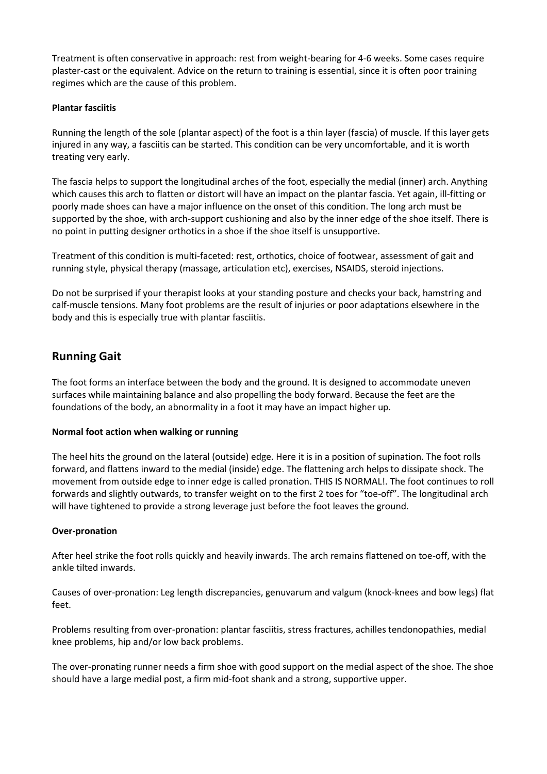Treatment is often conservative in approach: rest from weight-bearing for 4-6 weeks. Some cases require plaster-cast or the equivalent. Advice on the return to training is essential, since it is often poor training regimes which are the cause of this problem.

### **Plantar fasciitis**

Running the length of the sole (plantar aspect) of the foot is a thin layer (fascia) of muscle. If this layer gets injured in any way, a fasciitis can be started. This condition can be very uncomfortable, and it is worth treating very early.

The fascia helps to support the longitudinal arches of the foot, especially the medial (inner) arch. Anything which causes this arch to flatten or distort will have an impact on the plantar fascia. Yet again, ill-fitting or poorly made shoes can have a major influence on the onset of this condition. The long arch must be supported by the shoe, with arch-support cushioning and also by the inner edge of the shoe itself. There is no point in putting designer orthotics in a shoe if the shoe itself is unsupportive.

Treatment of this condition is multi-faceted: rest, orthotics, choice of footwear, assessment of gait and running style, physical therapy (massage, articulation etc), exercises, NSAIDS, steroid injections.

Do not be surprised if your therapist looks at your standing posture and checks your back, hamstring and calf-muscle tensions. Many foot problems are the result of injuries or poor adaptations elsewhere in the body and this is especially true with plantar fasciitis.

## **Running Gait**

The foot forms an interface between the body and the ground. It is designed to accommodate uneven surfaces while maintaining balance and also propelling the body forward. Because the feet are the foundations of the body, an abnormality in a foot it may have an impact higher up.

### **Normal foot action when walking or running**

The heel hits the ground on the lateral (outside) edge. Here it is in a position of supination. The foot rolls forward, and flattens inward to the medial (inside) edge. The flattening arch helps to dissipate shock. The movement from outside edge to inner edge is called pronation. THIS IS NORMAL!. The foot continues to roll forwards and slightly outwards, to transfer weight on to the first 2 toes for "toe-off". The longitudinal arch will have tightened to provide a strong leverage just before the foot leaves the ground.

### **Over-pronation**

After heel strike the foot rolls quickly and heavily inwards. The arch remains flattened on toe-off, with the ankle tilted inwards.

Causes of over-pronation: Leg length discrepancies, genuvarum and valgum (knock-knees and bow legs) flat feet.

Problems resulting from over-pronation: plantar fasciitis, stress fractures, achilles tendonopathies, medial knee problems, hip and/or low back problems.

The over-pronating runner needs a firm shoe with good support on the medial aspect of the shoe. The shoe should have a large medial post, a firm mid-foot shank and a strong, supportive upper.